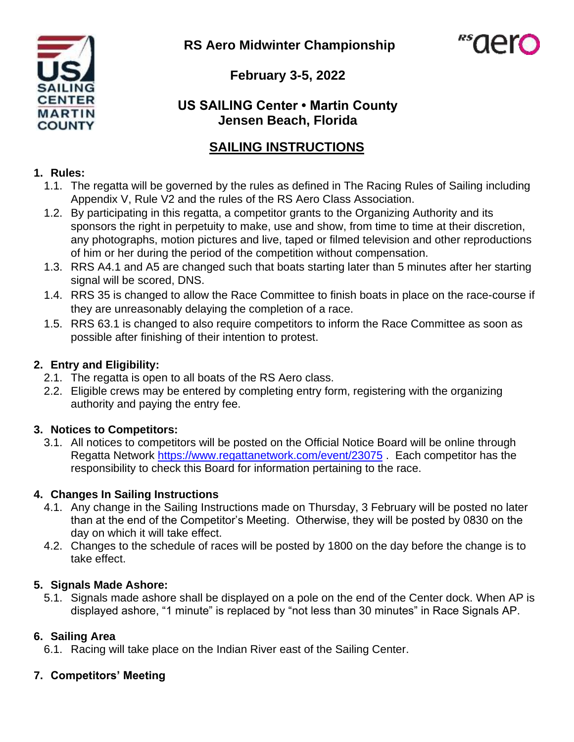**RS Aero Midwinter Championship**





**February 3-5, 2022**

## **US SAILING Center • Martin County Jensen Beach, Florida**

## **SAILING INSTRUCTIONS**

#### **1. Rules:**

- 1.1. The regatta will be governed by the rules as defined in The Racing Rules of Sailing including Appendix V, Rule V2 and the rules of the RS Aero Class Association.
- 1.2. By participating in this regatta, a competitor grants to the Organizing Authority and its sponsors the right in perpetuity to make, use and show, from time to time at their discretion, any photographs, motion pictures and live, taped or filmed television and other reproductions of him or her during the period of the competition without compensation.
- 1.3. RRS A4.1 and A5 are changed such that boats starting later than 5 minutes after her starting signal will be scored, DNS.
- 1.4. RRS 35 is changed to allow the Race Committee to finish boats in place on the race-course if they are unreasonably delaying the completion of a race.
- 1.5. RRS 63.1 is changed to also require competitors to inform the Race Committee as soon as possible after finishing of their intention to protest.

## **2. Entry and Eligibility:**

- 2.1. The regatta is open to all boats of the RS Aero class.
- 2.2. Eligible crews may be entered by completing entry form, registering with the organizing authority and paying the entry fee.

## **3. Notices to Competitors:**

3.1. All notices to competitors will be posted on the Official Notice Board will be online through Regatta Network <https://www.regattanetwork.com/event/23075> . Each competitor has the responsibility to check this Board for information pertaining to the race.

## **4. Changes In Sailing Instructions**

- 4.1. Any change in the Sailing Instructions made on Thursday, 3 February will be posted no later than at the end of the Competitor's Meeting. Otherwise, they will be posted by 0830 on the day on which it will take effect.
- 4.2. Changes to the schedule of races will be posted by 1800 on the day before the change is to take effect.

## **5. Signals Made Ashore:**

5.1. Signals made ashore shall be displayed on a pole on the end of the Center dock. When AP is displayed ashore, "1 minute" is replaced by "not less than 30 minutes" in Race Signals AP.

## **6. Sailing Area**

6.1. Racing will take place on the Indian River east of the Sailing Center.

## **7. Competitors' Meeting**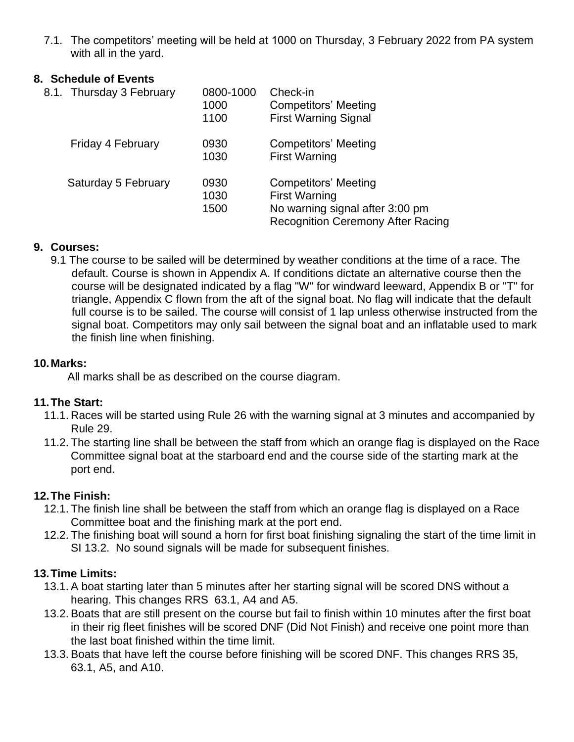7.1. The competitors' meeting will be held at 1000 on Thursday, 3 February 2022 from PA system with all in the yard.

#### **8. Schedule of Events**

| 8.1. Thursday 3 February | 0800-1000<br>1000<br>1100 | Check-in<br><b>Competitors' Meeting</b><br><b>First Warning Signal</b>                                                      |
|--------------------------|---------------------------|-----------------------------------------------------------------------------------------------------------------------------|
| Friday 4 February        | 0930<br>1030              | Competitors' Meeting<br><b>First Warning</b>                                                                                |
| Saturday 5 February      | 0930<br>1030<br>1500      | Competitors' Meeting<br><b>First Warning</b><br>No warning signal after 3:00 pm<br><b>Recognition Ceremony After Racing</b> |

#### **9. Courses:**

9.1 The course to be sailed will be determined by weather conditions at the time of a race. The default. Course is shown in Appendix A. If conditions dictate an alternative course then the course will be designated indicated by a flag "W" for windward leeward, Appendix B or "T" for triangle, Appendix C flown from the aft of the signal boat. No flag will indicate that the default full course is to be sailed. The course will consist of 1 lap unless otherwise instructed from the signal boat. Competitors may only sail between the signal boat and an inflatable used to mark the finish line when finishing.

#### **10.Marks:**

All marks shall be as described on the course diagram.

#### **11.The Start:**

- 11.1. Races will be started using Rule 26 with the warning signal at 3 minutes and accompanied by Rule 29.
- 11.2. The starting line shall be between the staff from which an orange flag is displayed on the Race Committee signal boat at the starboard end and the course side of the starting mark at the port end.

#### **12.The Finish:**

- 12.1. The finish line shall be between the staff from which an orange flag is displayed on a Race Committee boat and the finishing mark at the port end.
- 12.2. The finishing boat will sound a horn for first boat finishing signaling the start of the time limit in SI 13.2. No sound signals will be made for subsequent finishes.

#### **13.Time Limits:**

- 13.1. A boat starting later than 5 minutes after her starting signal will be scored DNS without a hearing. This changes RRS 63.1, A4 and A5.
- 13.2. Boats that are still present on the course but fail to finish within 10 minutes after the first boat in their rig fleet finishes will be scored DNF (Did Not Finish) and receive one point more than the last boat finished within the time limit.
- 13.3. Boats that have left the course before finishing will be scored DNF. This changes RRS 35, 63.1, A5, and A10.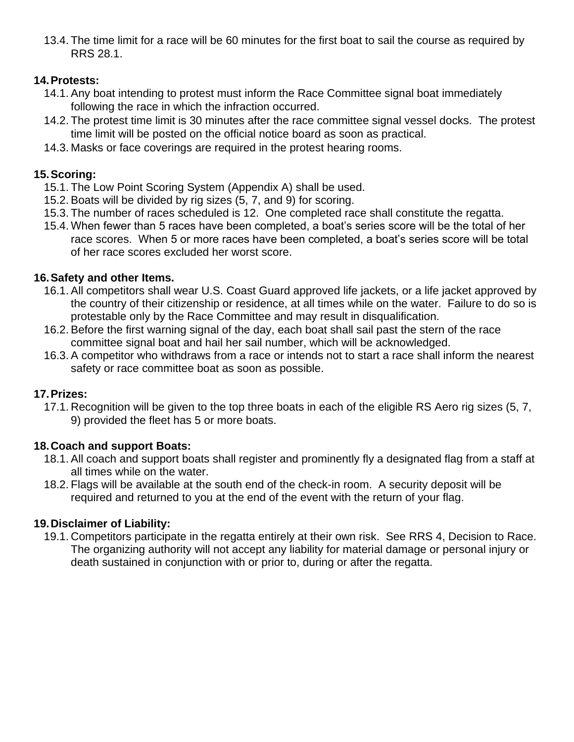13.4. The time limit for a race will be 60 minutes for the first boat to sail the course as required by RRS 28.1.

#### **14.Protests:**

- 14.1. Any boat intending to protest must inform the Race Committee signal boat immediately following the race in which the infraction occurred.
- 14.2. The protest time limit is 30 minutes after the race committee signal vessel docks. The protest time limit will be posted on the official notice board as soon as practical.
- 14.3. Masks or face coverings are required in the protest hearing rooms.

### **15.Scoring:**

- 15.1. The Low Point Scoring System (Appendix A) shall be used.
- 15.2. Boats will be divided by rig sizes (5, 7, and 9) for scoring.
- 15.3. The number of races scheduled is 12. One completed race shall constitute the regatta.
- 15.4. When fewer than 5 races have been completed, a boat's series score will be the total of her race scores. When 5 or more races have been completed, a boat's series score will be total of her race scores excluded her worst score.

#### **16.Safety and other Items.**

- 16.1. All competitors shall wear U.S. Coast Guard approved life jackets, or a life jacket approved by the country of their citizenship or residence, at all times while on the water. Failure to do so is protestable only by the Race Committee and may result in disqualification.
- 16.2. Before the first warning signal of the day, each boat shall sail past the stern of the race committee signal boat and hail her sail number, which will be acknowledged.
- 16.3. A competitor who withdraws from a race or intends not to start a race shall inform the nearest safety or race committee boat as soon as possible.

#### **17.Prizes:**

17.1. Recognition will be given to the top three boats in each of the eligible RS Aero rig sizes (5, 7, 9) provided the fleet has 5 or more boats.

#### **18.Coach and support Boats:**

- 18.1. All coach and support boats shall register and prominently fly a designated flag from a staff at all times while on the water.
- 18.2. Flags will be available at the south end of the check-in room. A security deposit will be required and returned to you at the end of the event with the return of your flag.

## **19.Disclaimer of Liability:**

19.1. Competitors participate in the regatta entirely at their own risk. See RRS 4, Decision to Race. The organizing authority will not accept any liability for material damage or personal injury or death sustained in conjunction with or prior to, during or after the regatta.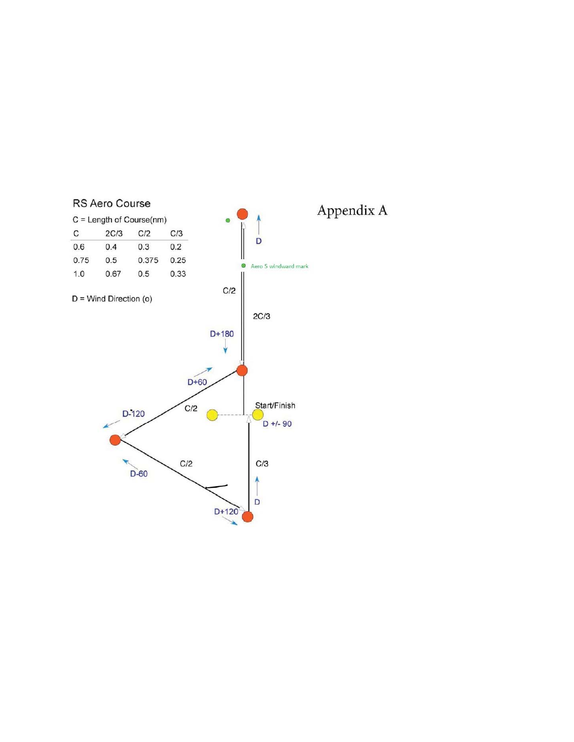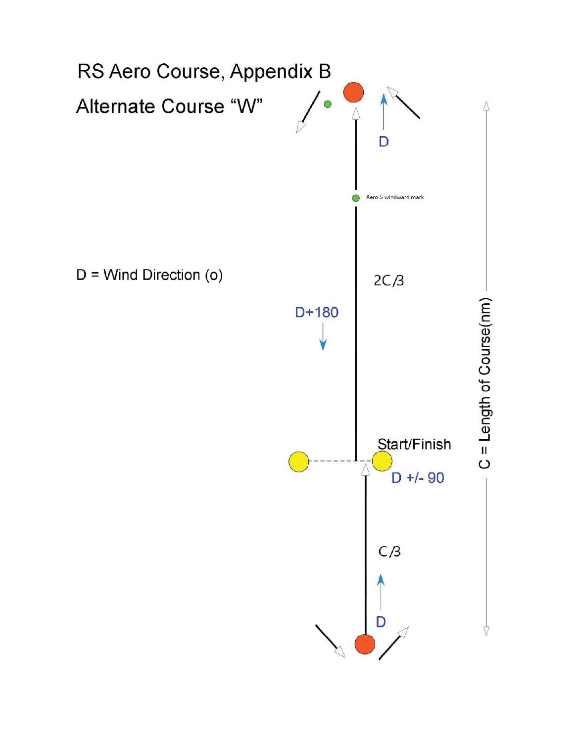